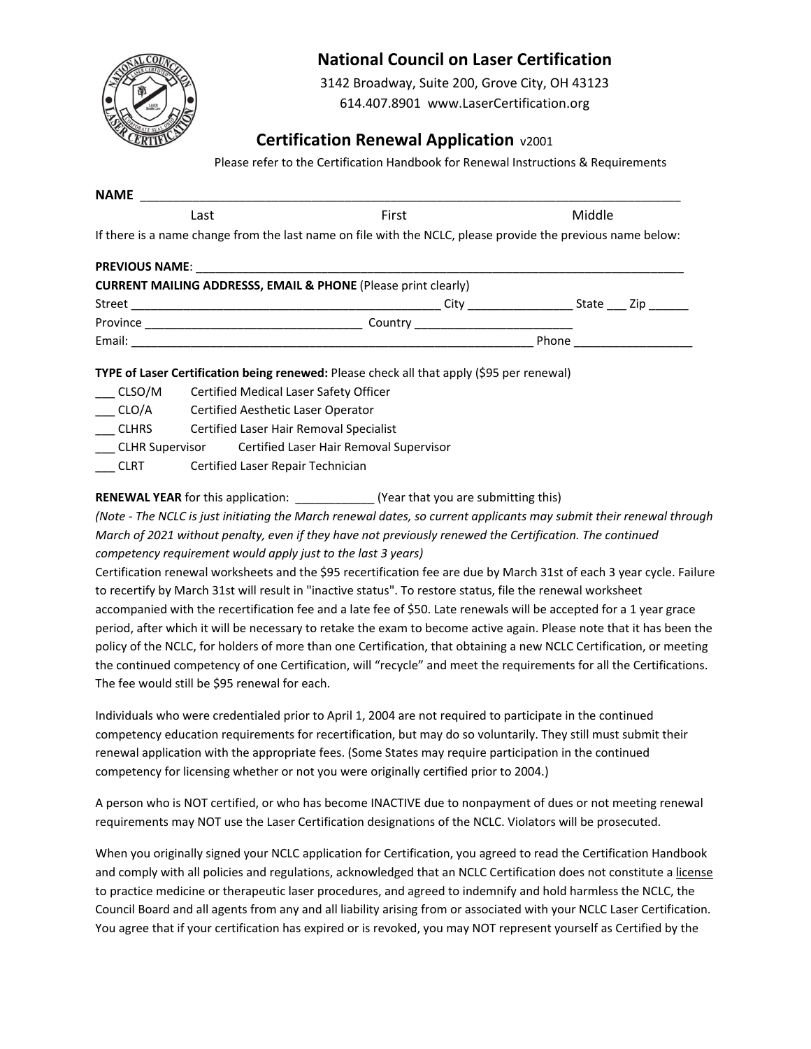

## **National Council on Laser Certification**

3142 Broadway, Suite 200, Grove City, OH 43123

614.407.8901 www.LaserCertification.org

## **Certification Renewal Application**  $v2001$

Please refer to the Certification Handbook for Renewal Instructions & Requirements

| Last | First                                                                                                       | Middle                        |  |  |
|------|-------------------------------------------------------------------------------------------------------------|-------------------------------|--|--|
|      | If there is a name change from the last name on file with the NCLC, please provide the previous name below: |                               |  |  |
|      |                                                                                                             |                               |  |  |
|      | <b>CURRENT MAILING ADDRESSS, EMAIL &amp; PHONE (Please print clearly)</b>                                   |                               |  |  |
|      |                                                                                                             |                               |  |  |
|      |                                                                                                             |                               |  |  |
|      |                                                                                                             | Phone _______________________ |  |  |

\_\_\_ CLSO/M Certified Medical Laser Safety Officer

\_\_\_ CLO/A Certified Aesthetic Laser Operator

\_\_\_ CLHRS Certified Laser Hair Removal Specialist

\_\_\_ CLHR Supervisor Certified Laser Hair Removal Supervisor

\_\_\_ CLRT Certified Laser Repair Technician

**RENEWAL YEAR** for this application: \_\_\_\_\_\_\_\_\_\_\_\_\_\_\_ (Year that you are submitting this)

*(Note ‐ The NCLC is just initiating the March renewal dates, so current applicants may submit their renewal through March of 2021 without penalty, even if they have not previously renewed the Certification. The continued competency requirement would apply just to the last 3 years)* 

Certification renewal worksheets and the \$95 recertification fee are due by March 31st of each 3 year cycle. Failure to recertify by March 31st will result in "inactive status". To restore status, file the renewal worksheet accompanied with the recertification fee and a late fee of \$50. Late renewals will be accepted for a 1 year grace period, after which it will be necessary to retake the exam to become active again. Please note that it has been the policy of the NCLC, for holders of more than one Certification, that obtaining a new NCLC Certification, or meeting the continued competency of one Certification, will "recycle" and meet the requirements for all the Certifications. The fee would still be \$95 renewal for each.

Individuals who were credentialed prior to April 1, 2004 are not required to participate in the continued competency education requirements for recertification, but may do so voluntarily. They still must submit their renewal application with the appropriate fees. (Some States may require participation in the continued competency for licensing whether or not you were originally certified prior to 2004.)

A person who is NOT certified, or who has become INACTIVE due to nonpayment of dues or not meeting renewal requirements may NOT use the Laser Certification designations of the NCLC. Violators will be prosecuted.

When you originally signed your NCLC application for Certification, you agreed to read the Certification Handbook and comply with all policies and regulations, acknowledged that an NCLC Certification does not constitute a license to practice medicine or therapeutic laser procedures, and agreed to indemnify and hold harmless the NCLC, the Council Board and all agents from any and all liability arising from or associated with your NCLC Laser Certification. You agree that if your certification has expired or is revoked, you may NOT represent yourself as Certified by the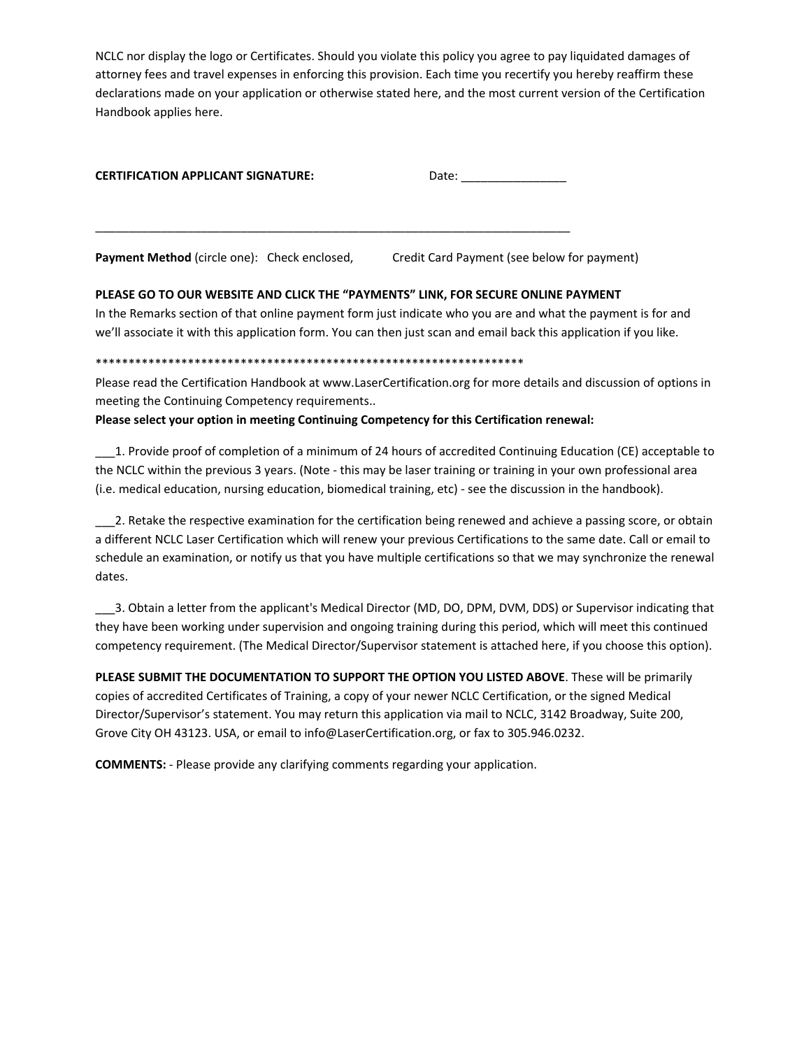NCLC nor display the logo or Certificates. Should you violate this policy you agree to pay liquidated damages of attorney fees and travel expenses in enforcing this provision. Each time you recertify you hereby reaffirm these declarations made on your application or otherwise stated here, and the most current version of the Certification Handbook applies here.

| <b>CERTIFICATION APPLICANT SIGNATURE:</b> | Date: |
|-------------------------------------------|-------|
|                                           |       |

\_\_\_\_\_\_\_\_\_\_\_\_\_\_\_\_\_\_\_\_\_\_\_\_\_\_\_\_\_\_\_\_\_\_\_\_\_\_\_\_\_\_\_\_\_\_\_\_\_\_\_\_\_\_\_\_\_\_\_\_\_\_\_\_\_\_\_\_\_\_\_\_

**Payment Method** (circle one): Check enclosed, Credit Card Payment (see below for payment)

### **PLEASE GO TO OUR WEBSITE AND CLICK THE "PAYMENTS" LINK, FOR SECURE ONLINE PAYMENT**

In the Remarks section of that online payment form just indicate who you are and what the payment is for and we'll associate it with this application form. You can then just scan and email back this application if you like.

#### \*\*\*\*\*\*\*\*\*\*\*\*\*\*\*\*\*\*\*\*\*\*\*\*\*\*\*\*\*\*\*\*\*\*\*\*\*\*\*\*\*\*\*\*\*\*\*\*\*\*\*\*\*\*\*\*\*\*\*\*\*\*\*\*\*

Please read the Certification Handbook at www.LaserCertification.org for more details and discussion of options in meeting the Continuing Competency requirements..

#### **Please select your option in meeting Continuing Competency for this Certification renewal:**

\_\_\_1. Provide proof of completion of a minimum of 24 hours of accredited Continuing Education (CE) acceptable to the NCLC within the previous 3 years. (Note ‐ this may be laser training or training in your own professional area (i.e. medical education, nursing education, biomedical training, etc) ‐ see the discussion in the handbook).

\_\_\_2. Retake the respective examination for the certification being renewed and achieve a passing score, or obtain a different NCLC Laser Certification which will renew your previous Certifications to the same date. Call or email to schedule an examination, or notify us that you have multiple certifications so that we may synchronize the renewal dates.

\_\_\_3. Obtain a letter from the applicant's Medical Director (MD, DO, DPM, DVM, DDS) or Supervisor indicating that they have been working under supervision and ongoing training during this period, which will meet this continued competency requirement. (The Medical Director/Supervisor statement is attached here, if you choose this option).

**PLEASE SUBMIT THE DOCUMENTATION TO SUPPORT THE OPTION YOU LISTED ABOVE**. These will be primarily copies of accredited Certificates of Training, a copy of your newer NCLC Certification, or the signed Medical Director/Supervisor's statement. You may return this application via mail to NCLC, 3142 Broadway, Suite 200, Grove City OH 43123. USA, or email to info@LaserCertification.org, or fax to 305.946.0232.

**COMMENTS:** ‐ Please provide any clarifying comments regarding your application.